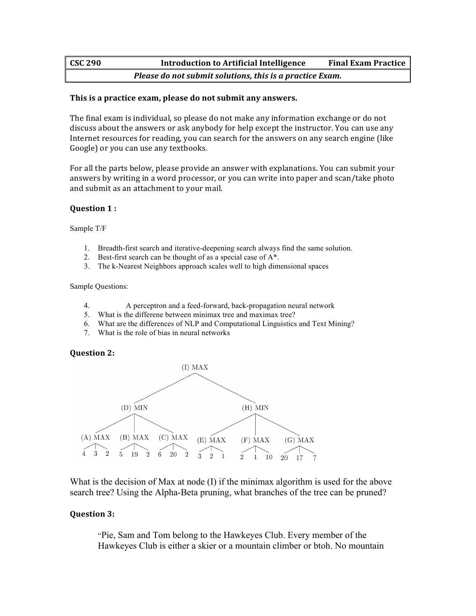# **CSC** 290 **Introduction to Artificial Intelligence Final Exam Practice** *Please do not submit solutions, this is a practice Exam.*

### This is a practice exam, please do not submit any answers.

The final exam is individual, so please do not make any information exchange or do not discuss about the answers or ask anybody for help except the instructor. You can use any Internet resources for reading, you can search for the answers on any search engine (like Google) or you can use any textbooks.

For all the parts below, please provide an answer with explanations. You can submit your answers by writing in a word processor, or you can write into paper and scan/take photo and submit as an attachment to your mail.

#### **Question 1:**

Sample T/F

- 1. Breadth-first search and iterative-deepening search always find the same solution.
- 2. Best-first search can be thought of as a special case of A\*.
- 3. The k-Nearest Neighbors approach scales well to high dimensional spaces

Sample Questions:

- 4. A perceptron and a feed-forward, back-propagation neural network
- 5. What is the differene between minimax tree and maximax tree?
- 6. What are the differences of NLP and Computational Linguistics and Text Mining?
- 7. What is the role of bias in neural networks

## **Question 2:**



What is the decision of Max at node (I) if the minimax algorithm is used for the above search tree? Using the Alpha-Beta pruning, what branches of the tree can be pruned?

## **Question 3:**

"Pie, Sam and Tom belong to the Hawkeyes Club. Every member of the Hawkeyes Club is either a skier or a mountain climber or btoh. No mountain